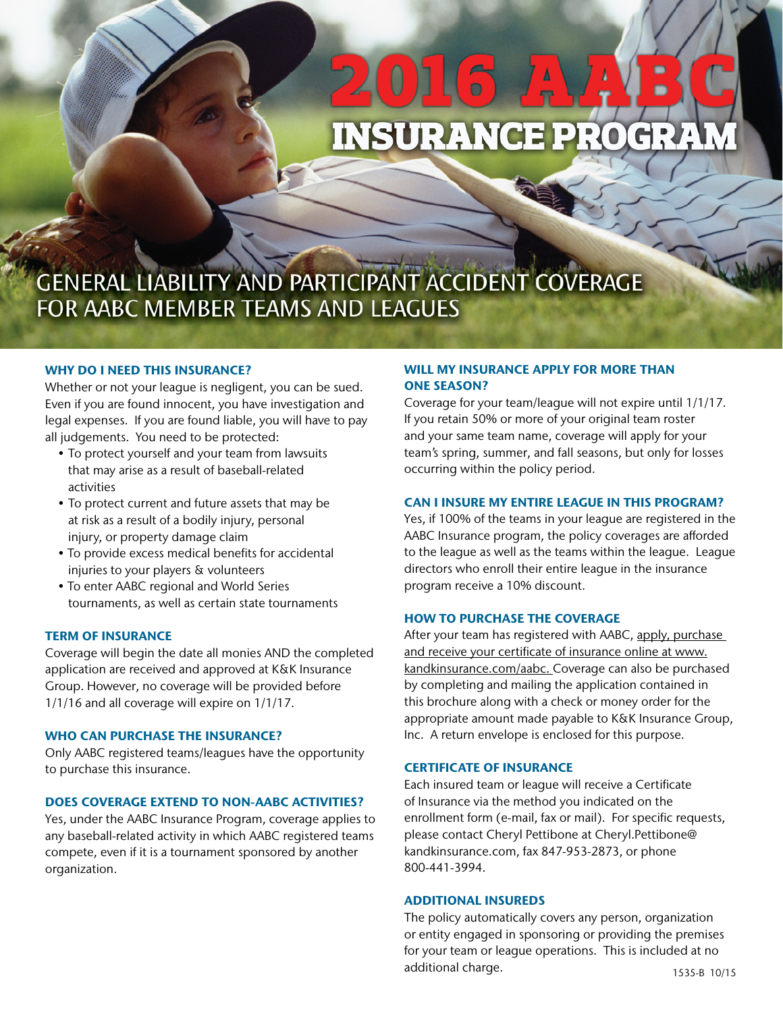# **INSURANCE PROGRAI**

# GENERAL LIABILITY AND PARTICIPANT ACCIDENT COVERAGE FOR AABC MEMBER TEAMS AND LEAGUES

### WHY DO I NEED THIS INSURANCE?

Whether or not your league is negligent, you can be sued. Even if you are found innocent, you have investigation and legal expenses. If you are found liable, you will have to pay all judgements. You need to be protected:

- To protect yourself and your team from lawsuits that may arise as a result of baseball-related activities
- To protect current and future assets that may be at risk as a result of a bodily injury, personal injury, or property damage claim
- To provide excess medical benefits for accidental injuries to your players & volunteers
- To enter AABC regional and World Series tournaments, as well as certain state tournaments

### TERM OF INSURANCE

Coverage will begin the date all monies AND the completed application are received and approved at K&K Insurance Group. However, no coverage will be provided before 1/1/16 and all coverage will expire on 1/1/17.

### WHO CAN PURCHASE THE INSURANCE?

Only AABC registered teams/leagues have the opportunity to purchase this insurance.

# DOES COVERAGE EXTEND TO NON-AABC ACTIVITIES?

Yes, under the AABC Insurance Program, coverage applies to any baseball-related activity in which AABC registered teams compete, even if it is a tournament sponsored by another organization.

# WILL MY INSURANCE APPLY FOR MORE THAN ONE SEASON?

Coverage for your team/league will not expire until 1/1/17. If you retain 50% or more of your original team roster and your same team name, coverage will apply for your team's spring, summer, and fall seasons, but only for losses occurring within the policy period.

### CAN I INSURE MY ENTIRE LEAGUE IN THIS PROGRAM?

Yes, if 100% of the teams in your league are registered in the AABC Insurance program, the policy coverages are afforded to the league as well as the teams within the league. League directors who enroll their entire league in the insurance program receive a 10% discount.

### HOW TO PURCHASE THE COVERAGE

After your team has registered with AABC, apply, purchase and receive your certificate of insurance online at www. kandkinsurance.com/aabc. Coverage can also be purchased by completing and mailing the application contained in this brochure along with a check or money order for the appropriate amount made payable to K&K Insurance Group, Inc. A return envelope is enclosed for this purpose.

### CERTIFICATE OF INSURANCE

Each insured team or league will receive a Certificate of Insurance via the method you indicated on the enrollment form (e-mail, fax or mail). For specific requests, please contact Cheryl Pettibone at Cheryl.Pettibone@ kandkinsurance.com, fax 847-953-2873, or phone 800-441-3994.

### ADDITIONAL INSUREDS

The policy automatically covers any person, organization or entity engaged in sponsoring or providing the premises for your team or league operations. This is included at no additional charge. 1535-B 10/15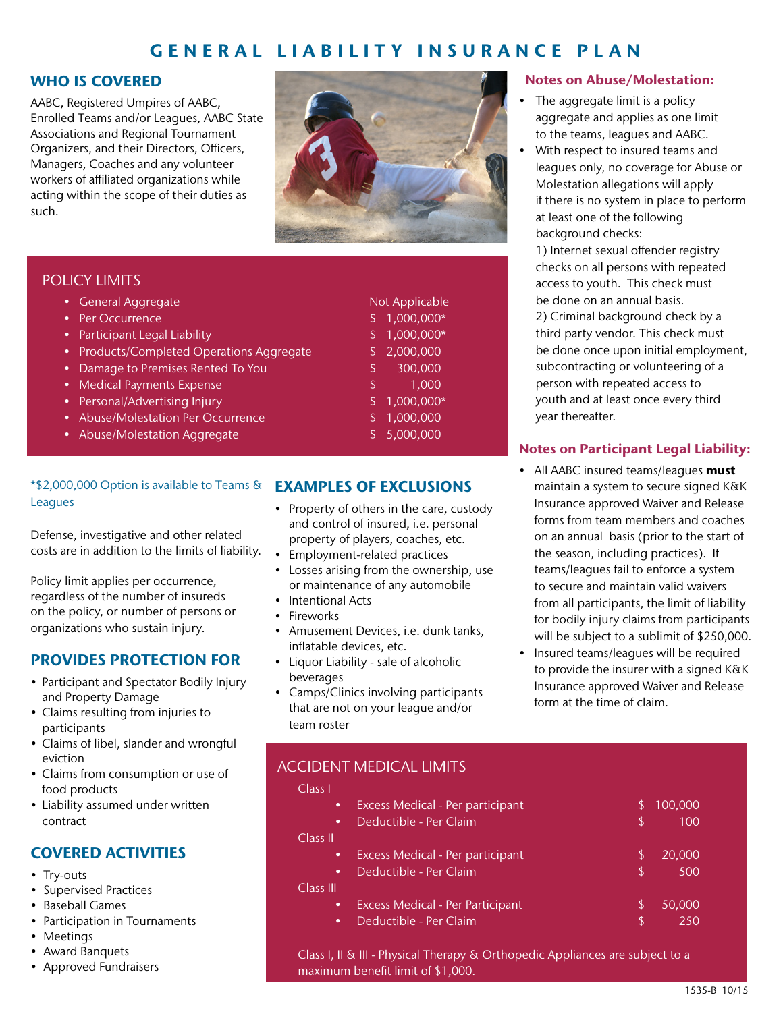# GENERAL LIABILITY INSURANCE PLAN

# WHO IS COVERED

AABC, Registered Umpires of AABC, Enrolled Teams and/or Leagues, AABC State Associations and Regional Tournament Organizers, and their Directors, Officers, Managers, Coaches and any volunteer workers of affiliated organizations while acting within the scope of their duties as such.



# POLICY LIMITS

| • General Aggregate                       | Not Applicable   |
|-------------------------------------------|------------------|
| <b>Per Occurrence</b>                     | 1,000,000*       |
| • Participant Legal Liability             | 1,000,000*       |
| • Products/Completed Operations Aggregate | 2,000,000        |
| • Damage to Premises Rented To You        | 300,000<br>\$    |
| • Medical Payments Expense                | 1,000<br>\$      |
| • Personal/Advertising Injury             | 1,000,000*<br>\$ |
| • Abuse/Molestation Per Occurrence        | 1,000,000<br>\$  |
| • Abuse/Molestation Aggregate             | 5,000,000        |
|                                           |                  |
|                                           |                  |

# \*\$2,000,000 Option is available to Teams & Leagues

Defense, investigative and other related costs are in addition to the limits of liability.

Policy limit applies per occurrence, regardless of the number of insureds on the policy, or number of persons or organizations who sustain injury.

# PROVIDES PROTECTION FOR

- Participant and Spectator Bodily Injury and Property Damage
- Claims resulting from injuries to participants
- Claims of libel, slander and wrongful eviction
- Claims from consumption or use of food products
- Liability assumed under written contract

# COVERED ACTIVITIES

- Try-outs
- Supervised Practices
- Baseball Games
- Participation in Tournaments
- Meetings
- Award Banquets
- Approved Fundraisers

# EXAMPLES OF EXCLUSIONS

- Property of others in the care, custody and control of insured, i.e. personal property of players, coaches, etc.
- Employment-related practices
- Losses arising from the ownership, use or maintenance of any automobile
- Intentional Acts
- Fireworks

 $\overline{C}$ 

 $\overline{C}$ 

- Amusement Devices, i.e. dunk tanks, inflatable devices, etc.
- Liquor Liability sale of alcoholic beverages
- Camps/Clinics involving participants that are not on your league and/or team roster

# Notes on Abuse/Molestation:

- The aggregate limit is a policy aggregate and applies as one limit to the teams, leagues and AABC.
- With respect to insured teams and leagues only, no coverage for Abuse or Molestation allegations will apply if there is no system in place to perform at least one of the following background checks:

1) Internet sexual offender registry checks on all persons with repeated access to youth. This check must be done on an annual basis. 2) Criminal background check by a third party vendor. This check must be done once upon initial employment, subcontracting or volunteering of a person with repeated access to youth and at least once every third year thereafter.

# Notes on Participant Legal Liability:

- All AABC insured teams/leagues must maintain a system to secure signed K&K Insurance approved Waiver and Release forms from team members and coaches on an annual basis (prior to the start of the season, including practices). If teams/leagues fail to enforce a system to secure and maintain valid waivers from all participants, the limit of liability for bodily injury claims from participants will be subject to a sublimit of \$250,000.
- Insured teams/leagues will be required to provide the insurer with a signed K&K Insurance approved Waiver and Release form at the time of claim.

| <b>ACCIDENT MEDICAL LIMITS</b> |  |
|--------------------------------|--|
| Class L                        |  |

| ٠         | <b>Excess Medical - Per participant</b> | \$ | 100,000 |
|-----------|-----------------------------------------|----|---------|
| $\bullet$ | Deductible - Per Claim                  | \$ | 100     |
| ass II    |                                         |    |         |
| ٠         | Excess Medical - Per participant        | \$ | 20,000  |
| $\bullet$ | Deductible - Per Claim                  | S  | 500     |
| ass III   |                                         |    |         |
| ٠         | <b>Excess Medical - Per Participant</b> | S  | 50,000  |
| ٠         | Deductible - Per Claim                  | S  | 250     |
|           |                                         |    |         |

Class I, II & III - Physical Therapy & Orthopedic Appliances are subject to a maximum benefit limit of \$1,000.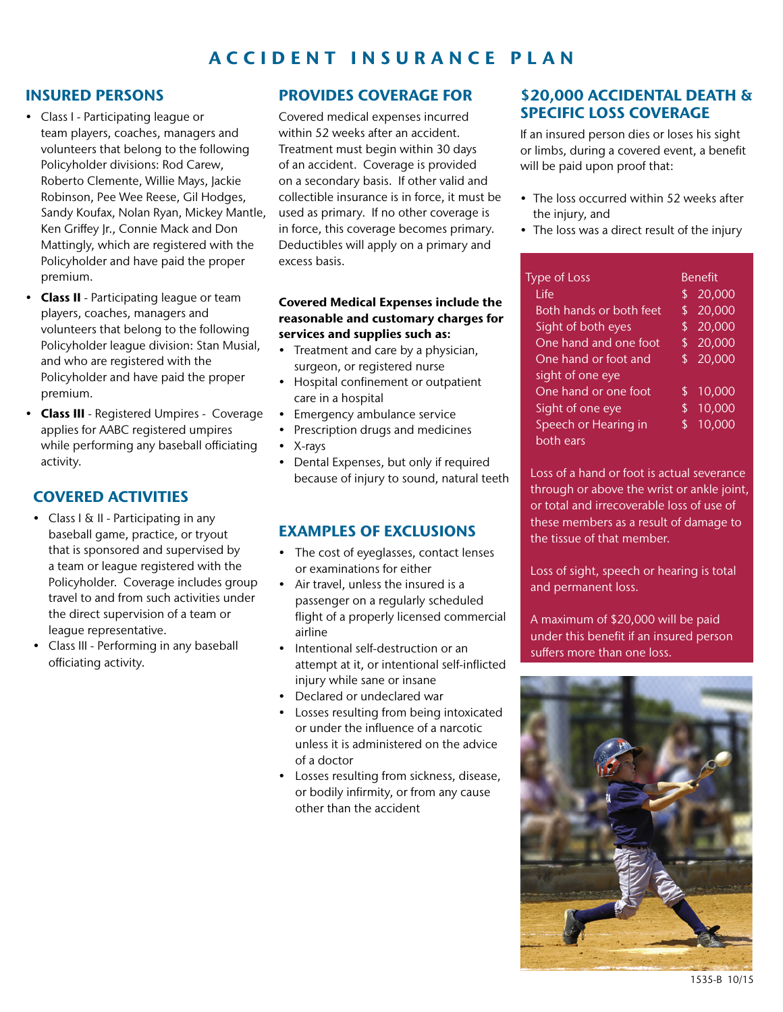# ACCIDENT INSURANCE PLAN

# INSURED PERSONS

- Class I Participating league or team players, coaches, managers and volunteers that belong to the following Policyholder divisions: Rod Carew, Roberto Clemente, Willie Mays, Jackie Robinson, Pee Wee Reese, Gil Hodges, Sandy Koufax, Nolan Ryan, Mickey Mantle, Ken Griffey Jr., Connie Mack and Don Mattingly, which are registered with the Policyholder and have paid the proper premium.
- Class II Participating league or team players, coaches, managers and volunteers that belong to the following Policyholder league division: Stan Musial, and who are registered with the Policyholder and have paid the proper premium.
- Class III Registered Umpires Coverage applies for AABC registered umpires while performing any baseball officiating activity.

# COVERED ACTIVITIES

- Class I & II Participating in any baseball game, practice, or tryout that is sponsored and supervised by a team or league registered with the Policyholder. Coverage includes group travel to and from such activities under the direct supervision of a team or league representative.
- Class III Performing in any baseball officiating activity.

# PROVIDES COVERAGE FOR

Covered medical expenses incurred within 52 weeks after an accident. Treatment must begin within 30 days of an accident. Coverage is provided on a secondary basis. If other valid and collectible insurance is in force, it must be used as primary. If no other coverage is in force, this coverage becomes primary. Deductibles will apply on a primary and excess basis.

# Covered Medical Expenses include the reasonable and customary charges for services and supplies such as:

- Treatment and care by a physician, surgeon, or registered nurse
- Hospital confinement or outpatient care in a hospital
- Emergency ambulance service
- Prescription drugs and medicines
- X-rays
- Dental Expenses, but only if required because of injury to sound, natural teeth

# EXAMPLES OF EXCLUSIONS

- The cost of eyeglasses, contact lenses or examinations for either
- Air travel, unless the insured is a passenger on a regularly scheduled flight of a properly licensed commercial airline
- Intentional self-destruction or an attempt at it, or intentional self-inflicted injury while sane or insane
- Declared or undeclared war
- Losses resulting from being intoxicated or under the influence of a narcotic unless it is administered on the advice of a doctor
- Losses resulting from sickness, disease, or bodily infirmity, or from any cause other than the accident

# \$20,000 ACCIDENTAL DEATH & SPECIFIC LOSS COVERAGE

If an insured person dies or loses his sight or limbs, during a covered event, a benefit will be paid upon proof that:

- The loss occurred within 52 weeks after the injury, and
- The loss was a direct result of the injury

| <b>Type of Loss</b>     |     | <b>Benefit</b>      |
|-------------------------|-----|---------------------|
| l ife                   | \$  | 20,000              |
| Both hands or both feet | \$  | $\overline{20,000}$ |
| Sight of both eyes      | \$  | 20,000              |
| One hand and one foot   | \$  | 20,000              |
| One hand or foot and    | \$. | 20,000              |
| sight of one eye        |     |                     |
| One hand or one foot    | \$  | 10,000              |
| Sight of one eye        | \$  | 10,000              |
| Speech or Hearing in    | \$  | 10,000              |
| both ears               |     |                     |

Loss of a hand or foot is actual severance through or above the wrist or ankle joint, or total and irrecoverable loss of use of these members as a result of damage to the tissue of that member.

Loss of sight, speech or hearing is total and permanent loss.

A maximum of \$20,000 will be paid under this benefit if an insured person suffers more than one loss.